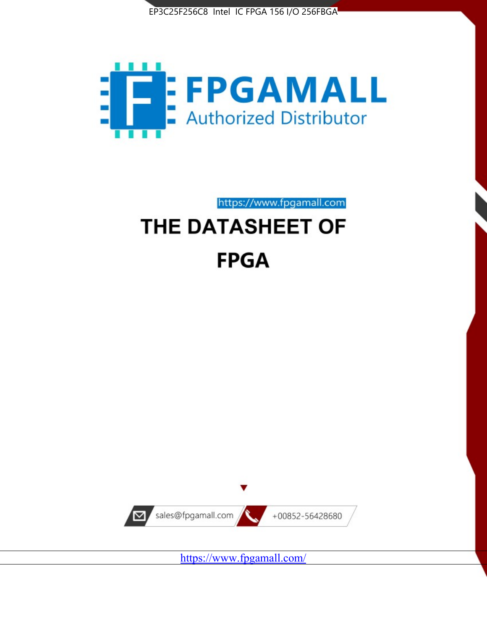



https://www.fpgamall.com

# THE DATASHEET OF **FPGA**



<https://www.fpgamall.com/>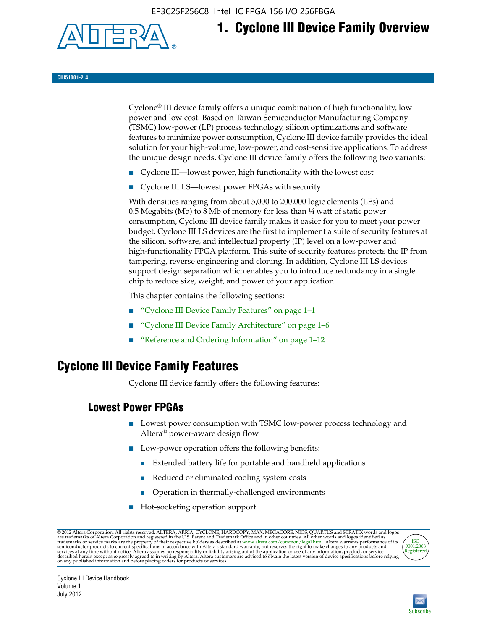EP3C25F256C8 Intel IC FPGA 156 I/O 256FBGA



# **1. Cyclone III Device Family Overview**

#### **CIII51001-2.4**

Cyclone® III device family offers a unique combination of high functionality, low power and low cost. Based on Taiwan Semiconductor Manufacturing Company (TSMC) low-power (LP) process technology, silicon optimizations and software features to minimize power consumption, Cyclone III device family provides the ideal solution for your high-volume, low-power, and cost-sensitive applications. To address the unique design needs, Cyclone III device family offers the following two variants:

- Cyclone III—lowest power, high functionality with the lowest cost
- Cyclone III LS—lowest power FPGAs with security

With densities ranging from about 5,000 to 200,000 logic elements (LEs) and 0.5 Megabits (Mb) to 8 Mb of memory for less than ¼ watt of static power consumption, Cyclone III device family makes it easier for you to meet your power budget. Cyclone III LS devices are the first to implement a suite of security features at the silicon, software, and intellectual property (IP) level on a low-power and high-functionality FPGA platform. This suite of security features protects the IP from tampering, reverse engineering and cloning. In addition, Cyclone III LS devices support design separation which enables you to introduce redundancy in a single chip to reduce size, weight, and power of your application.

This chapter contains the following sections:

- "Cyclone III Device Family Features" on page 1–1
- "Cyclone III Device Family Architecture" on page 1–6
- "Reference and Ordering Information" on page 1–12

## **Cyclone III Device Family Features**

Cyclone III device family offers the following features:

#### **Lowest Power FPGAs**

- Lowest power consumption with TSMC low-power process technology and Altera® power-aware design flow
- Low-power operation offers the following benefits:
	- Extended battery life for portable and handheld applications
	- Reduced or eliminated cooling system costs
	- Operation in thermally-challenged environments
- Hot-socketing operation support

@ 2012 Altera Corporation. All rights reserved. ALTERA, ARRIA, CYCLONE, HARDCOPY, MAX, MEGACORE, NIOS, QUARTUS and STRATIX words and logos are trademarks of Altera Corporation and registered in the U.S. Patent and Trademar



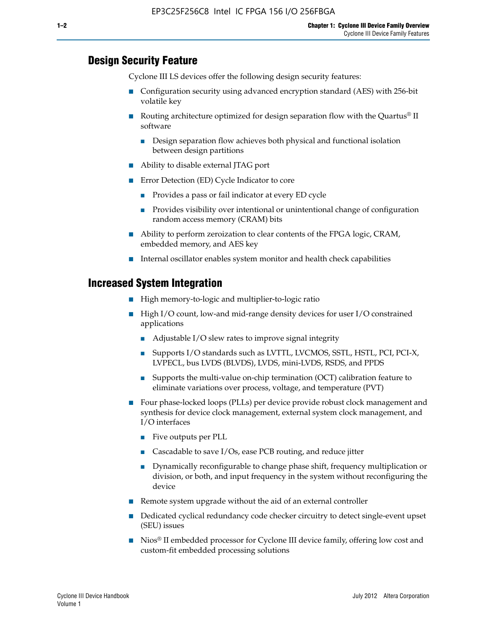#### **Design Security Feature**

Cyclone III LS devices offer the following design security features:

- Configuration security using advanced encryption standard (AES) with 256-bit volatile key
- Routing architecture optimized for design separation flow with the Quartus<sup>®</sup> II software
	- Design separation flow achieves both physical and functional isolation between design partitions
- Ability to disable external JTAG port
- Error Detection (ED) Cycle Indicator to core
	- Provides a pass or fail indicator at every ED cycle
	- Provides visibility over intentional or unintentional change of configuration random access memory (CRAM) bits
- Ability to perform zeroization to clear contents of the FPGA logic, CRAM, embedded memory, and AES key
- Internal oscillator enables system monitor and health check capabilities

#### **Increased System Integration**

- High memory-to-logic and multiplier-to-logic ratio
- High I/O count, low-and mid-range density devices for user I/O constrained applications
	- Adjustable I/O slew rates to improve signal integrity
	- Supports I/O standards such as LVTTL, LVCMOS, SSTL, HSTL, PCI, PCI-X, LVPECL, bus LVDS (BLVDS), LVDS, mini-LVDS, RSDS, and PPDS
	- Supports the multi-value on-chip termination (OCT) calibration feature to eliminate variations over process, voltage, and temperature (PVT)
- Four phase-locked loops (PLLs) per device provide robust clock management and synthesis for device clock management, external system clock management, and I/O interfaces
	- Five outputs per PLL
	- Cascadable to save I/Os, ease PCB routing, and reduce jitter
	- Dynamically reconfigurable to change phase shift, frequency multiplication or division, or both, and input frequency in the system without reconfiguring the device
- Remote system upgrade without the aid of an external controller
- Dedicated cyclical redundancy code checker circuitry to detect single-event upset (SEU) issues
- Nios<sup>®</sup> II embedded processor for Cyclone III device family, offering low cost and custom-fit embedded processing solutions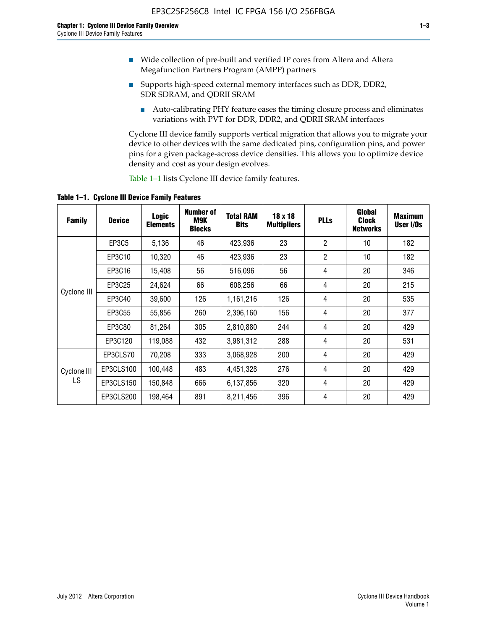- Wide collection of pre-built and verified IP cores from Altera and Altera Megafunction Partners Program (AMPP) partners
- Supports high-speed external memory interfaces such as DDR, DDR2, SDR SDRAM, and QDRII SRAM
	- Auto-calibrating PHY feature eases the timing closure process and eliminates variations with PVT for DDR, DDR2, and QDRII SRAM interfaces

Cyclone III device family supports vertical migration that allows you to migrate your device to other devices with the same dedicated pins, configuration pins, and power pins for a given package-across device densities. This allows you to optimize device density and cost as your design evolves.

Table 1–1 lists Cyclone III device family features.

**Table 1–1. Cyclone III Device Family Features**

| <b>Family</b> | <b>Device</b> | <b>Logic</b><br><b>Elements</b> | Number of<br>M9K<br><b>Blocks</b> | <b>Total RAM</b><br><b>Bits</b> | 18 x 18<br><b>Multipliers</b> | <b>PLLs</b>    | Global<br><b>Clock</b><br><b>Networks</b> | <b>Maximum</b><br>User I/Os |
|---------------|---------------|---------------------------------|-----------------------------------|---------------------------------|-------------------------------|----------------|-------------------------------------------|-----------------------------|
|               | <b>EP3C5</b>  | 5,136                           | 46                                | 423,936                         | 23                            | $\overline{2}$ | 10                                        | 182                         |
|               | EP3C10        | 10,320                          | 46                                | 423,936                         | 23                            | $\overline{2}$ | 10                                        | 182                         |
|               | EP3C16        | 15,408                          | 56                                | 516,096                         | 56                            | 4              | 20                                        | 346                         |
|               | EP3C25        | 24,624                          | 66                                | 608,256                         | 66                            | 4              | 20                                        | 215                         |
| Cyclone III   | EP3C40        | 39,600                          | 126                               | 1,161,216                       | 126                           | 4              | 20                                        | 535                         |
|               | EP3C55        | 55,856                          | 260                               | 2,396,160                       | 156                           | 4              | 20                                        | 377                         |
|               | EP3C80        | 81,264                          | 305                               | 2,810,880                       | 244                           | 4              | 20                                        | 429                         |
|               | EP3C120       | 119,088                         | 432                               | 3,981,312                       | 288                           | 4              | 20                                        | 531                         |
|               | EP3CLS70      | 70,208                          | 333                               | 3,068,928                       | 200                           | 4              | 20                                        | 429                         |
| Cyclone III   | EP3CLS100     | 100,448                         | 483                               | 4,451,328                       | 276                           | 4              | 20                                        | 429                         |
| LS            | EP3CLS150     | 150,848                         | 666                               | 6,137,856                       | 320                           | 4              | 20                                        | 429                         |
|               | EP3CLS200     | 198,464                         | 891                               | 8,211,456                       | 396                           | 4              | 20                                        | 429                         |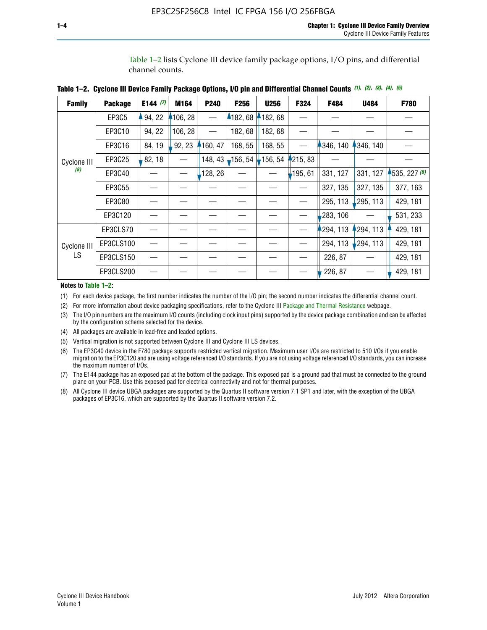Table 1–2 lists Cyclone III device family package options, I/O pins, and differential channel counts.

| <b>Family</b> | <b>Package</b> | E144 $(7)$ | M164     | P240     | F <sub>256</sub>  | <b>U256</b> | F324       | F484      | U484        | F780         |
|---------------|----------------|------------|----------|----------|-------------------|-------------|------------|-----------|-------------|--------------|
|               | EP3C5          | 94, 22     | 4106, 28 |          | 182,68            | 182, 68     |            |           |             |              |
|               | EP3C10         | 94, 22     | 106, 28  |          | 182, 68           | 182, 68     |            |           |             |              |
|               | EP3C16         | 84, 19     | 92, 23   | 160, 47  | 168, 55           | 168, 55     |            | 346, 140  | 4346, 140   |              |
| Cyclone III   | EP3C25         | 82, 18     |          | 148, 43  | $156, 54$ 156, 54 |             | 4215, 83   |           |             |              |
| (8)           | EP3C40         |            |          | ,128, 26 |                   |             | $-195, 61$ | 331, 127  | 331, 127    | 1535, 227(6) |
|               | EP3C55         |            |          |          |                   |             |            | 327, 135  | 327, 135    | 377, 163     |
|               | EP3C80         |            |          |          |                   |             |            | 295, 113  | 295, 113    | 429, 181     |
|               | EP3C120        |            |          |          |                   |             |            | 283, 106  |             | 531, 233     |
|               | EP3CLS70       |            |          |          |                   |             |            | 1294, 113 | 294, 113    | 429, 181     |
| Cyclone III   | EP3CLS100      |            |          |          |                   |             |            | 294, 113  | $-294, 113$ | 429, 181     |
| LS.           | EP3CLS150      |            |          |          |                   |             |            | 226, 87   |             | 429, 181     |
|               | EP3CLS200      |            |          |          |                   |             |            | 226, 87   |             | 429, 181     |

|  | Table 1–2. Cyclone III Device Family Package Options, I/O pin and Differential Channel Counts (1), (2), (3), (4), (5) |  |  |  |  |  |  |  |  |
|--|-----------------------------------------------------------------------------------------------------------------------|--|--|--|--|--|--|--|--|
|--|-----------------------------------------------------------------------------------------------------------------------|--|--|--|--|--|--|--|--|

**Notes to Table 1–2:**

(1) For each device package, the first number indicates the number of the I/O pin; the second number indicates the differential channel count.

(2) For more information about device packaging specifications, refer to the Cyclone III [Package and Thermal Resistance](http://www.altera.com/support/devices/packaging/specifications/pkg-pin/dev-package-listing.jsp?device=Cyclone_III) webpage.

(3) The I/O pin numbers are the maximum I/O counts (including clock input pins) supported by the device package combination and can be affected by the configuration scheme selected for the device.

(4) All packages are available in lead-free and leaded options.

(5) Vertical migration is not supported between Cyclone III and Cyclone III LS devices.

(6) The EP3C40 device in the F780 package supports restricted vertical migration. Maximum user I/Os are restricted to 510 I/Os if you enable migration to the EP3C120 and are using voltage referenced I/O standards. If you are not using voltage referenced I/O standards, you can increase the maximum number of I/Os.

(7) The E144 package has an exposed pad at the bottom of the package. This exposed pad is a ground pad that must be connected to the ground plane on your PCB. Use this exposed pad for electrical connectivity and not for thermal purposes.

(8) All Cyclone III device UBGA packages are supported by the Quartus II software version 7.1 SP1 and later, with the exception of the UBGA packages of EP3C16, which are supported by the Quartus II software version 7.2.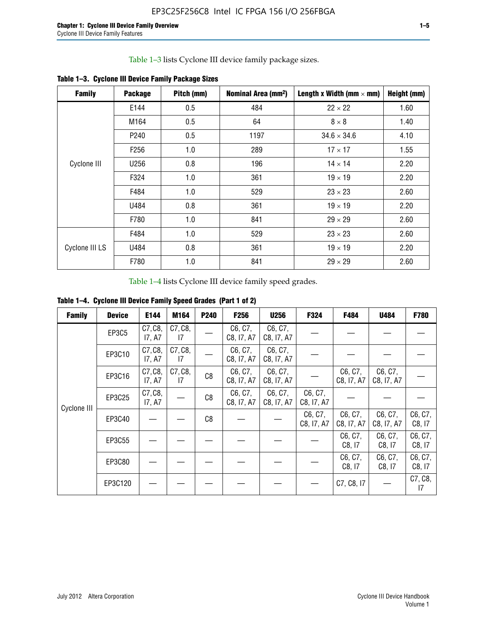Table 1–3 lists Cyclone III device family package sizes.

| <b>Family</b>  | <b>Package</b>   | Pitch (mm) | Nominal Area (mm <sup>2</sup> ) | Length x Width (mm $\times$ mm) | Height (mm) |
|----------------|------------------|------------|---------------------------------|---------------------------------|-------------|
|                | E144             | 0.5        | 484                             | $22 \times 22$                  | 1.60        |
|                | M164             | 0.5        | 64                              | $8 \times 8$                    | 1.40        |
|                | P <sub>240</sub> | 0.5        | 1197                            | $34.6 \times 34.6$              | 4.10        |
|                | F <sub>256</sub> | 1.0        | 289                             | $17 \times 17$                  | 1.55        |
| Cyclone III    | U256             | 0.8        | 196                             | $14 \times 14$                  | 2.20        |
|                | F324             | 1.0        | 361                             | $19 \times 19$                  | 2.20        |
|                | F484             | 1.0        | 529                             | $23 \times 23$                  | 2.60        |
|                | U484             | 0.8        | 361                             | $19 \times 19$                  | 2.20        |
|                | F780             | 1.0        | 841                             | $29 \times 29$                  | 2.60        |
|                | F484             | 1.0        | 529                             | $23 \times 23$                  | 2.60        |
| Cyclone III LS | U484             | 0.8        | 361                             | $19 \times 19$                  | 2.20        |
|                | F780             | 1.0        | 841                             | $29 \times 29$                  | 2.60        |

**Table 1–3. Cyclone III Device Family Package Sizes**

Table 1–4 lists Cyclone III device family speed grades.

**Table 1–4. Cyclone III Device Family Speed Grades (Part 1 of 2)**

| <b>Family</b> | <b>Device</b> | E144              | M164          | <b>P240</b> | <b>F256</b>           | <b>U256</b>           | F324                  | F484                  | U484                  | <b>F780</b>       |
|---------------|---------------|-------------------|---------------|-------------|-----------------------|-----------------------|-----------------------|-----------------------|-----------------------|-------------------|
|               | EP3C5         | C7, C8,<br>17, A7 | C7, C8,<br>17 |             | C6, C7,<br>C8, I7, A7 | C6, C7,<br>C8, I7, A7 |                       |                       |                       |                   |
|               | EP3C10        | C7, C8,<br>17, A7 | C7, C8,<br>17 |             | C6, C7,<br>C8, I7, A7 | C6, C7,<br>C8, I7, A7 |                       |                       |                       |                   |
|               | EP3C16        | C7, C8,<br>17, A7 | C7, C8,<br>17 | C8          | C6, C7,<br>C8, I7, A7 | C6, C7,<br>C8, I7, A7 |                       | C6, C7,<br>C8, I7, A7 | C6, C7,<br>C8, I7, A7 |                   |
| Cyclone III   | EP3C25        | C7, C8,<br>17, A7 |               | C8          | C6, C7,<br>C8, I7, A7 | C6, C7,<br>C8, I7, A7 | C6, C7,<br>C8, I7, A7 |                       |                       |                   |
|               | EP3C40        |                   |               | C8          |                       |                       | C6, C7,<br>C8, I7, A7 | C6, C7,<br>C8, I7, A7 | C6, C7,<br>C8, I7, A7 | C6, C7,<br>C8, 17 |
|               | EP3C55        |                   |               |             |                       |                       |                       | C6, C7,<br>C8, I7     | C6, C7,<br>C8, 17     | C6, C7,<br>C8, 17 |
|               | EP3C80        |                   |               |             |                       |                       |                       | C6, C7,<br>C8, 17     | C6, C7,<br>C8, 17     | C6, C7,<br>C8, 17 |
|               | EP3C120       |                   |               |             |                       |                       |                       | C7, C8, I7            |                       | C7, C8,<br>17     |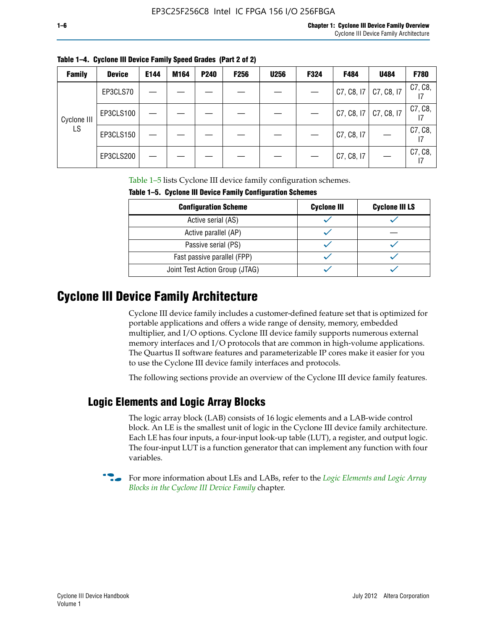| × |  |  |
|---|--|--|
|   |  |  |

| <b>Family</b> | <b>Device</b> | E144 | M164 | P240 | <b>F256</b> | <b>U256</b> | F324 | F484       | U484       | F780          |
|---------------|---------------|------|------|------|-------------|-------------|------|------------|------------|---------------|
|               | EP3CLS70      |      |      |      |             |             |      | C7, C8, I7 | C7, C8, I7 | C7, C8,       |
| Cyclone III   | EP3CLS100     |      |      |      |             |             |      | C7, C8, 17 | C7, C8, I7 | C7, C8,       |
| LS            | EP3CLS150     |      |      |      |             |             |      | C7, C8, I7 |            | C7, C8,<br>17 |
|               | EP3CLS200     |      |      |      |             |             |      | C7, C8, I7 |            | C7, C8,       |

**Table 1–4. Cyclone III Device Family Speed Grades (Part 2 of 2)**

Table 1–5 lists Cyclone III device family configuration schemes.

| TABLE 1-9. CYCLUILE III DEVICE FAILIIIY CUILIIYULALIUII SCIIEIIIES |                    |                       |  |
|--------------------------------------------------------------------|--------------------|-----------------------|--|
| <b>Configuration Scheme</b>                                        | <b>Cyclone III</b> | <b>Cyclone III LS</b> |  |
| Active serial (AS)                                                 |                    |                       |  |
| Active parallel (AP)                                               |                    |                       |  |
| Passive serial (PS)                                                |                    |                       |  |
| Fast passive parallel (FPP)                                        |                    |                       |  |
| Joint Test Action Group (JTAG)                                     |                    |                       |  |

**Table 1–5. Cyclone III Device Family Configuration Schemes**

## **Cyclone III Device Family Architecture**

Cyclone III device family includes a customer-defined feature set that is optimized for portable applications and offers a wide range of density, memory, embedded multiplier, and I/O options. Cyclone III device family supports numerous external memory interfaces and I/O protocols that are common in high-volume applications. The Quartus II software features and parameterizable IP cores make it easier for you to use the Cyclone III device family interfaces and protocols.

The following sections provide an overview of the Cyclone III device family features.

#### **Logic Elements and Logic Array Blocks**

The logic array block (LAB) consists of 16 logic elements and a LAB-wide control block. An LE is the smallest unit of logic in the Cyclone III device family architecture. Each LE has four inputs, a four-input look-up table (LUT), a register, and output logic. The four-input LUT is a function generator that can implement any function with four variables.

f For more information about LEs and LABs, refer to the *[Logic Elements and Logic Array](http://www.altera.com/literature/hb/cyc3/cyc3_ciii51002.pdf)  [Blocks in the Cyclone III Device Family](http://www.altera.com/literature/hb/cyc3/cyc3_ciii51002.pdf)* chapter.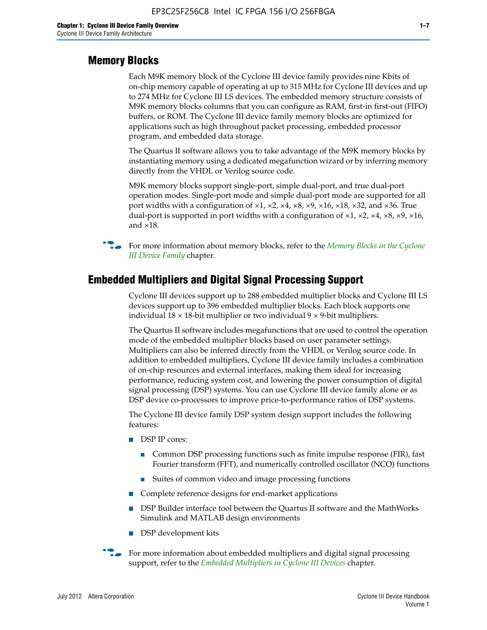#### **Memory Blocks**

Each M9K memory block of the Cyclone III device family provides nine Kbits of on-chip memory capable of operating at up to 315 MHz for Cyclone III devices and up to 274 MHz for Cyclone III LS devices. The embedded memory structure consists of M9K memory blocks columns that you can configure as RAM, first-in first-out (FIFO) buffers, or ROM. The Cyclone III device family memory blocks are optimized for applications such as high throughout packet processing, embedded processor program, and embedded data storage.

The Quartus II software allows you to take advantage of the M9K memory blocks by instantiating memory using a dedicated megafunction wizard or by inferring memory directly from the VHDL or Verilog source code.

M9K memory blocks support single-port, simple dual-port, and true dual-port operation modes. Single-port mode and simple dual-port mode are supported for all port widths with a configuration of  $\times1$ ,  $\times2$ ,  $\times4$ ,  $\times8$ ,  $\times9$ ,  $\times16$ ,  $\times18$ ,  $\times32$ , and  $\times36$ . True dual-port is supported in port widths with a configuration of  $\times$ 1,  $\times$ 2,  $\times$ 4,  $\times$ 8,  $\times$ 9,  $\times$ 16, and ×18.



**For more information about memory blocks, refer to the** *Memory Blocks in the Cyclone [III Device Family](http://www.altera.com/literature/hb/cyc3/cyc3_ciii51004.pdf)* chapter.

#### **Embedded Multipliers and Digital Signal Processing Support**

Cyclone III devices support up to 288 embedded multiplier blocks and Cyclone III LS devices support up to 396 embedded multiplier blocks. Each block supports one individual  $18 \times 18$ -bit multiplier or two individual  $9 \times 9$ -bit multipliers.

The Quartus II software includes megafunctions that are used to control the operation mode of the embedded multiplier blocks based on user parameter settings. Multipliers can also be inferred directly from the VHDL or Verilog source code. In addition to embedded multipliers, Cyclone III device family includes a combination of on-chip resources and external interfaces, making them ideal for increasing performance, reducing system cost, and lowering the power consumption of digital signal processing (DSP) systems. You can use Cyclone III device family alone or as DSP device co-processors to improve price-to-performance ratios of DSP systems.

The Cyclone III device family DSP system design support includes the following features:

- DSP IP cores:
	- Common DSP processing functions such as finite impulse response (FIR), fast Fourier transform (FFT), and numerically controlled oscillator (NCO) functions
	- Suites of common video and image processing functions
- Complete reference designs for end-market applications
- DSP Builder interface tool between the Quartus II software and the MathWorks Simulink and MATLAB design environments
- DSP development kits
- For more information about embedded multipliers and digital signal processing support, refer to the *[Embedded Multipliers in Cyclone III Devices](http://www.altera.com/literature/hb/cyc3/cyc3_ciii51005.pdf)* chapter.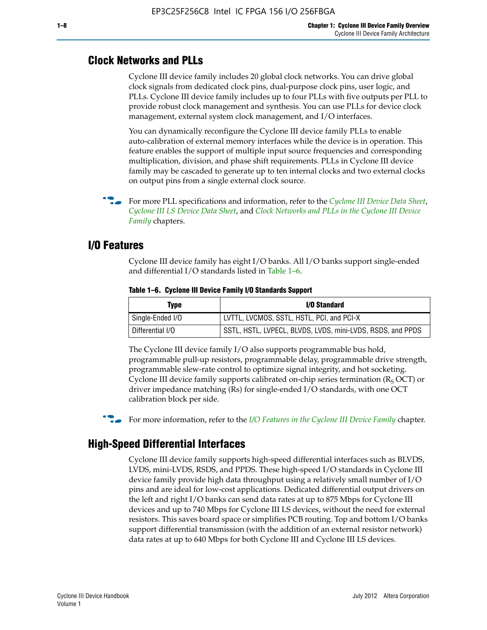#### **Clock Networks and PLLs**

Cyclone III device family includes 20 global clock networks. You can drive global clock signals from dedicated clock pins, dual-purpose clock pins, user logic, and PLLs. Cyclone III device family includes up to four PLLs with five outputs per PLL to provide robust clock management and synthesis. You can use PLLs for device clock management, external system clock management, and I/O interfaces.

You can dynamically reconfigure the Cyclone III device family PLLs to enable auto-calibration of external memory interfaces while the device is in operation. This feature enables the support of multiple input source frequencies and corresponding multiplication, division, and phase shift requirements. PLLs in Cyclone III device family may be cascaded to generate up to ten internal clocks and two external clocks on output pins from a single external clock source.

**For more PLL specifications and information, refer to the** *[Cyclone III Device Data Sheet](http://www.altera.com/literature/hb/cyc3/cyc3_ciii52001.pdf)***,** *[Cyclone III LS Device Data Sheet](http://www.altera.com/literature/hb/cyc3/cyc3_ciii52002.pdf)*, and *[Clock Networks and PLLs in the Cyclone III Device](http://www.altera.com/literature/hb/cyc3/cyc3_ciii51006.pdf)  [Family](http://www.altera.com/literature/hb/cyc3/cyc3_ciii51006.pdf)* chapters.

#### **I/O Features**

Cyclone III device family has eight I/O banks. All I/O banks support single-ended and differential I/O standards listed in Table 1–6.

| Type             | <b>I/O Standard</b>                                        |
|------------------|------------------------------------------------------------|
| Single-Ended I/O | LVTTL, LVCMOS, SSTL, HSTL, PCI, and PCI-X                  |
| Differential I/O | SSTL, HSTL, LVPECL, BLVDS, LVDS, mini-LVDS, RSDS, and PPDS |

**Table 1–6. Cyclone III Device Family I/O Standards Support** 

The Cyclone III device family I/O also supports programmable bus hold, programmable pull-up resistors, programmable delay, programmable drive strength, programmable slew-rate control to optimize signal integrity, and hot socketing. Cyclone III device family supports calibrated on-chip series termination ( $R_S$  OCT) or driver impedance matching (Rs) for single-ended I/O standards, with one OCT calibration block per side.

For more information, refer to the *[I/O Features in the Cyclone III Device Family](http://www.altera.com/literature/hb/cyc3/cyc3_ciii51007.pdf)* chapter.

### **High-Speed Differential Interfaces**

Cyclone III device family supports high-speed differential interfaces such as BLVDS, LVDS, mini-LVDS, RSDS, and PPDS. These high-speed I/O standards in Cyclone III device family provide high data throughput using a relatively small number of I/O pins and are ideal for low-cost applications. Dedicated differential output drivers on the left and right I/O banks can send data rates at up to 875 Mbps for Cyclone III devices and up to 740 Mbps for Cyclone III LS devices, without the need for external resistors. This saves board space or simplifies PCB routing. Top and bottom I/O banks support differential transmission (with the addition of an external resistor network) data rates at up to 640 Mbps for both Cyclone III and Cyclone III LS devices.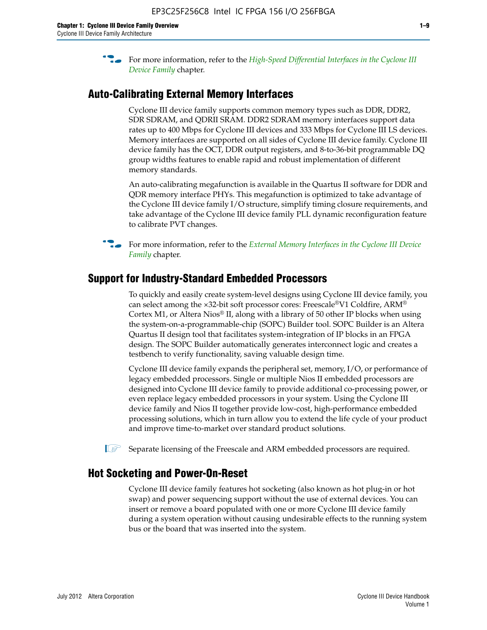**For more information, refer to the** *High-Speed Differential Interfaces in the Cyclone III* $\overline{a}$ *[Device Family](http://www.altera.com/literature/hb/cyc3/cyc3_ciii51008.pdf)* chapter.

#### **Auto-Calibrating External Memory Interfaces**

Cyclone III device family supports common memory types such as DDR, DDR2, SDR SDRAM, and QDRII SRAM. DDR2 SDRAM memory interfaces support data rates up to 400 Mbps for Cyclone III devices and 333 Mbps for Cyclone III LS devices. Memory interfaces are supported on all sides of Cyclone III device family. Cyclone III device family has the OCT, DDR output registers, and 8-to-36-bit programmable DQ group widths features to enable rapid and robust implementation of different memory standards.

An auto-calibrating megafunction is available in the Quartus II software for DDR and QDR memory interface PHYs. This megafunction is optimized to take advantage of the Cyclone III device family I/O structure, simplify timing closure requirements, and take advantage of the Cyclone III device family PLL dynamic reconfiguration feature to calibrate PVT changes.

**For more information, refer to the** *External Memory Interfaces in the Cyclone III Device [Family](http://www.altera.com/literature/hb/cyc3/cyc3_ciii51009.pdf)* chapter.

#### **Support for Industry-Standard Embedded Processors**

To quickly and easily create system-level designs using Cyclone III device family, you can select among the ×32-bit soft processor cores: Freescale®V1 Coldfire, ARM® Cortex M1, or Altera Nios® II, along with a library of 50 other IP blocks when using the system-on-a-programmable-chip (SOPC) Builder tool. SOPC Builder is an Altera Quartus II design tool that facilitates system-integration of IP blocks in an FPGA design. The SOPC Builder automatically generates interconnect logic and creates a testbench to verify functionality, saving valuable design time.

Cyclone III device family expands the peripheral set, memory, I/O, or performance of legacy embedded processors. Single or multiple Nios II embedded processors are designed into Cyclone III device family to provide additional co-processing power, or even replace legacy embedded processors in your system. Using the Cyclone III device family and Nios II together provide low-cost, high-performance embedded processing solutions, which in turn allow you to extend the life cycle of your product and improve time-to-market over standard product solutions.

 $\mathbb{I}$  Separate licensing of the Freescale and ARM embedded processors are required.

#### **Hot Socketing and Power-On-Reset**

Cyclone III device family features hot socketing (also known as hot plug-in or hot swap) and power sequencing support without the use of external devices. You can insert or remove a board populated with one or more Cyclone III device family during a system operation without causing undesirable effects to the running system bus or the board that was inserted into the system.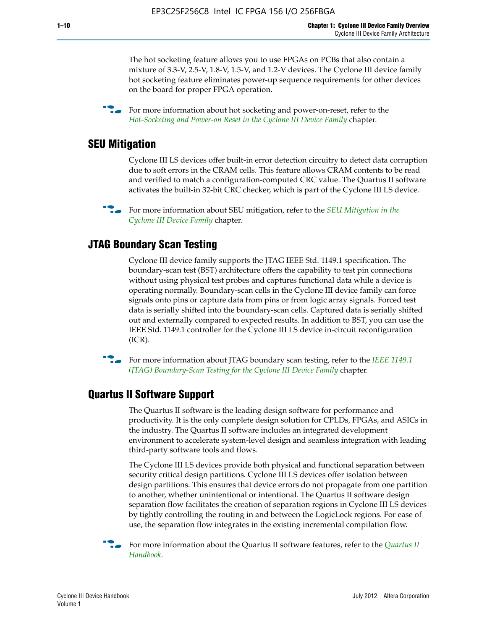The hot socketing feature allows you to use FPGAs on PCBs that also contain a mixture of 3.3-V, 2.5-V, 1.8-V, 1.5-V, and 1.2-V devices. The Cyclone III device family hot socketing feature eliminates power-up sequence requirements for other devices on the board for proper FPGA operation.

For more information about hot socketing and power-on-reset, refer to the *[Hot-Socketing and Power-on Reset in the Cyclone III Device Family](http://www.altera.com/literature/hb/cyc3/cyc3_ciii51011.pdf)* chapter.

#### **SEU Mitigation**

Cyclone III LS devices offer built-in error detection circuitry to detect data corruption due to soft errors in the CRAM cells. This feature allows CRAM contents to be read and verified to match a configuration-computed CRC value. The Quartus II software activates the built-in 32-bit CRC checker, which is part of the Cyclone III LS device.

**For more information about SEU mitigation, refer to the** *SEU Mitigation in the [Cyclone III Device Family](http://www.altera.com/literature/hb/cyc3/cyc3_ciii51013.pdf)* chapter.

#### **JTAG Boundary Scan Testing**

Cyclone III device family supports the JTAG IEEE Std. 1149.1 specification. The boundary-scan test (BST) architecture offers the capability to test pin connections without using physical test probes and captures functional data while a device is operating normally. Boundary-scan cells in the Cyclone III device family can force signals onto pins or capture data from pins or from logic array signals. Forced test data is serially shifted into the boundary-scan cells. Captured data is serially shifted out and externally compared to expected results. In addition to BST, you can use the IEEE Std. 1149.1 controller for the Cyclone III LS device in-circuit reconfiguration (ICR).

**f f**or more information about JTAG boundary scan testing, refer to the *IEEE* 1149.1 *[\(JTAG\) Boundary-Scan Testing for the Cyclone III Device Family](http://www.altera.com/literature/hb/cyc3/cyc3_ciii51014.pdf)* chapter.

#### **Quartus II Software Support**

The Quartus II software is the leading design software for performance and productivity. It is the only complete design solution for CPLDs, FPGAs, and ASICs in the industry. The Quartus II software includes an integrated development environment to accelerate system-level design and seamless integration with leading third-party software tools and flows.

The Cyclone III LS devices provide both physical and functional separation between security critical design partitions. Cyclone III LS devices offer isolation between design partitions. This ensures that device errors do not propagate from one partition to another, whether unintentional or intentional. The Quartus II software design separation flow facilitates the creation of separation regions in Cyclone III LS devices by tightly controlling the routing in and between the LogicLock regions. For ease of use, the separation flow integrates in the existing incremental compilation flow.

f For more information about the Quartus II software features, refer to the *[Quartus II](http://www.altera.com/literature/hb/qts/quartusii_handbook.pdf)  [Handbook](http://www.altera.com/literature/hb/qts/quartusii_handbook.pdf)*.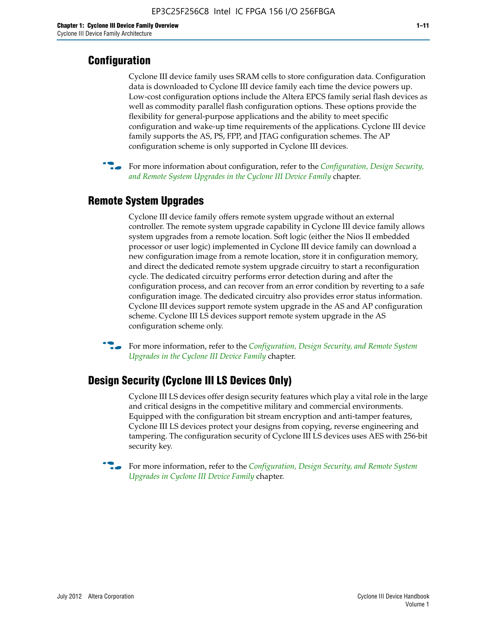#### **Configuration**

Cyclone III device family uses SRAM cells to store configuration data. Configuration data is downloaded to Cyclone III device family each time the device powers up. Low-cost configuration options include the Altera EPCS family serial flash devices as well as commodity parallel flash configuration options. These options provide the flexibility for general-purpose applications and the ability to meet specific configuration and wake-up time requirements of the applications. Cyclone III device family supports the AS, PS, FPP, and JTAG configuration schemes. The AP configuration scheme is only supported in Cyclone III devices.



f For more information about configuration, refer to the *[Configuration, Design Security,](http://www.altera.com/literature/hb/cyc3/cyc3_ciii51016.pdf)  [and Remote System Upgrades in the Cyclone III Device Family](http://www.altera.com/literature/hb/cyc3/cyc3_ciii51016.pdf)* chapter.

#### **Remote System Upgrades**

Cyclone III device family offers remote system upgrade without an external controller. The remote system upgrade capability in Cyclone III device family allows system upgrades from a remote location. Soft logic (either the Nios II embedded processor or user logic) implemented in Cyclone III device family can download a new configuration image from a remote location, store it in configuration memory, and direct the dedicated remote system upgrade circuitry to start a reconfiguration cycle. The dedicated circuitry performs error detection during and after the configuration process, and can recover from an error condition by reverting to a safe configuration image. The dedicated circuitry also provides error status information. Cyclone III devices support remote system upgrade in the AS and AP configuration scheme. Cyclone III LS devices support remote system upgrade in the AS configuration scheme only.

**For more information, refer to the** *Configuration, Design Security, and Remote System [Upgrades in the Cyclone III Device Family](http://www.altera.com/literature/hb/cyc3/cyc3_ciii51016.pdf)* chapter.

#### **Design Security (Cyclone III LS Devices Only)**

Cyclone III LS devices offer design security features which play a vital role in the large and critical designs in the competitive military and commercial environments. Equipped with the configuration bit stream encryption and anti-tamper features, Cyclone III LS devices protect your designs from copying, reverse engineering and tampering. The configuration security of Cyclone III LS devices uses AES with 256-bit security key.

f For more information, refer to the *[Configuration, Design Security, and Remote System](http://www.altera.com/literature/hb/cyc3/cyc3_ciii51016.pdf)  [Upgrades in Cyclone III Device Family](http://www.altera.com/literature/hb/cyc3/cyc3_ciii51016.pdf)* chapter.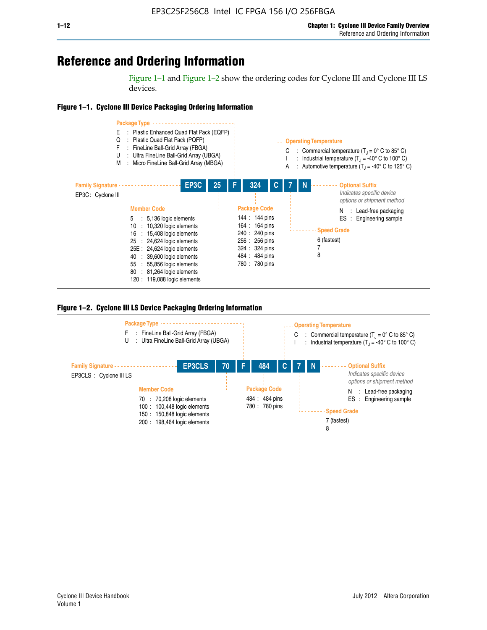## **Reference and Ordering Information**

Figure 1–1 and Figure 1–2 show the ordering codes for Cyclone III and Cyclone III LS devices.







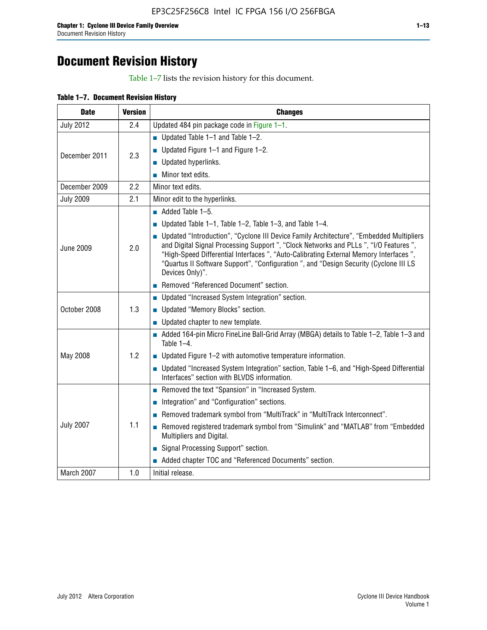# **Document Revision History**

Table 1–7 lists the revision history for this document.

| Table 1-7. Document Revision History |
|--------------------------------------|
|--------------------------------------|

| <b>Date</b>      | <b>Version</b> | <b>Changes</b>                                                                                                                                                                                                                                                                                                                                                                          |
|------------------|----------------|-----------------------------------------------------------------------------------------------------------------------------------------------------------------------------------------------------------------------------------------------------------------------------------------------------------------------------------------------------------------------------------------|
| <b>July 2012</b> | 2.4            | Updated 484 pin package code in Figure 1-1.                                                                                                                                                                                                                                                                                                                                             |
|                  |                | ■ Updated Table $1-1$ and Table $1-2$ .                                                                                                                                                                                                                                                                                                                                                 |
| December 2011    | 2.3            | ■ Updated Figure $1-1$ and Figure $1-2$ .                                                                                                                                                                                                                                                                                                                                               |
|                  |                | Updated hyperlinks.                                                                                                                                                                                                                                                                                                                                                                     |
|                  |                | Minor text edits.                                                                                                                                                                                                                                                                                                                                                                       |
| December 2009    | 2.2            | Minor text edits.                                                                                                                                                                                                                                                                                                                                                                       |
| <b>July 2009</b> | 2.1            | Minor edit to the hyperlinks.                                                                                                                                                                                                                                                                                                                                                           |
|                  |                | $\blacksquare$ Added Table 1-5.                                                                                                                                                                                                                                                                                                                                                         |
|                  |                | ■ Updated Table 1–1, Table 1–2, Table 1–3, and Table 1–4.                                                                                                                                                                                                                                                                                                                               |
| <b>June 2009</b> | 2.0            | • Updated "Introduction", "Cyclone III Device Family Architecture", "Embedded Multipliers<br>and Digital Signal Processing Support ", "Clock Networks and PLLs ", "I/O Features ",<br>"High-Speed Differential Interfaces ", "Auto-Calibrating External Memory Interfaces",<br>"Quartus II Software Support", "Configuration ", and "Design Security (Cyclone III LS<br>Devices Only)". |
|                  |                | Removed "Referenced Document" section.                                                                                                                                                                                                                                                                                                                                                  |
|                  |                | • Updated "Increased System Integration" section.                                                                                                                                                                                                                                                                                                                                       |
| October 2008     | 1.3            | Updated "Memory Blocks" section.                                                                                                                                                                                                                                                                                                                                                        |
|                  |                | • Updated chapter to new template.                                                                                                                                                                                                                                                                                                                                                      |
|                  |                | Added 164-pin Micro FineLine Ball-Grid Array (MBGA) details to Table 1-2, Table 1-3 and<br>Table $1-4$ .                                                                                                                                                                                                                                                                                |
| May 2008         | 1.2            | $\blacksquare$ Updated Figure 1-2 with automotive temperature information.                                                                                                                                                                                                                                                                                                              |
|                  |                | • Updated "Increased System Integration" section, Table 1-6, and "High-Speed Differential<br>Interfaces" section with BLVDS information.                                                                                                                                                                                                                                                |
|                  |                | Removed the text "Spansion" in "Increased System.                                                                                                                                                                                                                                                                                                                                       |
|                  |                | Integration" and "Configuration" sections.                                                                                                                                                                                                                                                                                                                                              |
|                  |                | Removed trademark symbol from "MultiTrack" in "MultiTrack Interconnect".                                                                                                                                                                                                                                                                                                                |
| <b>July 2007</b> | 1.1            | Removed registered trademark symbol from "Simulink" and "MATLAB" from "Embedded<br>Multipliers and Digital.                                                                                                                                                                                                                                                                             |
|                  |                | Signal Processing Support" section.                                                                                                                                                                                                                                                                                                                                                     |
|                  |                | Added chapter TOC and "Referenced Documents" section.                                                                                                                                                                                                                                                                                                                                   |
| March 2007       | 1.0            | Initial release.                                                                                                                                                                                                                                                                                                                                                                        |